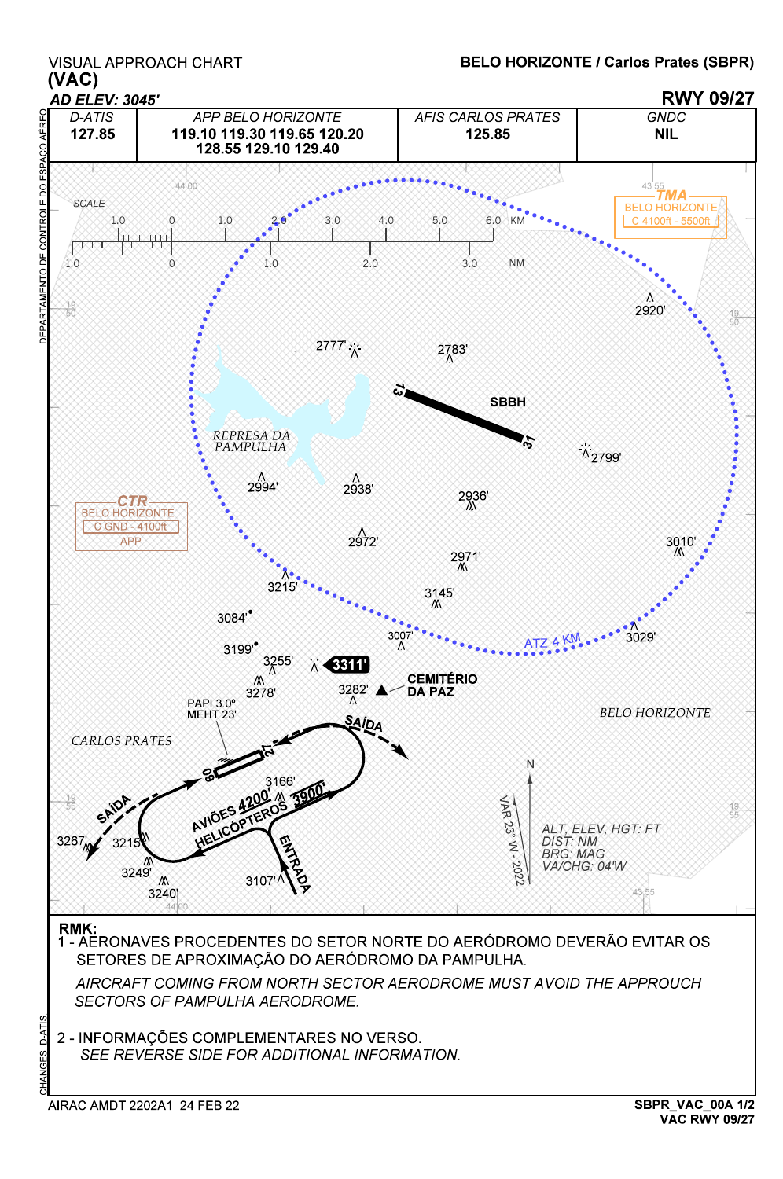## VISUAL APPROACH CHART

## BELO HORIZONTE / Carlos Prates (SBPR)